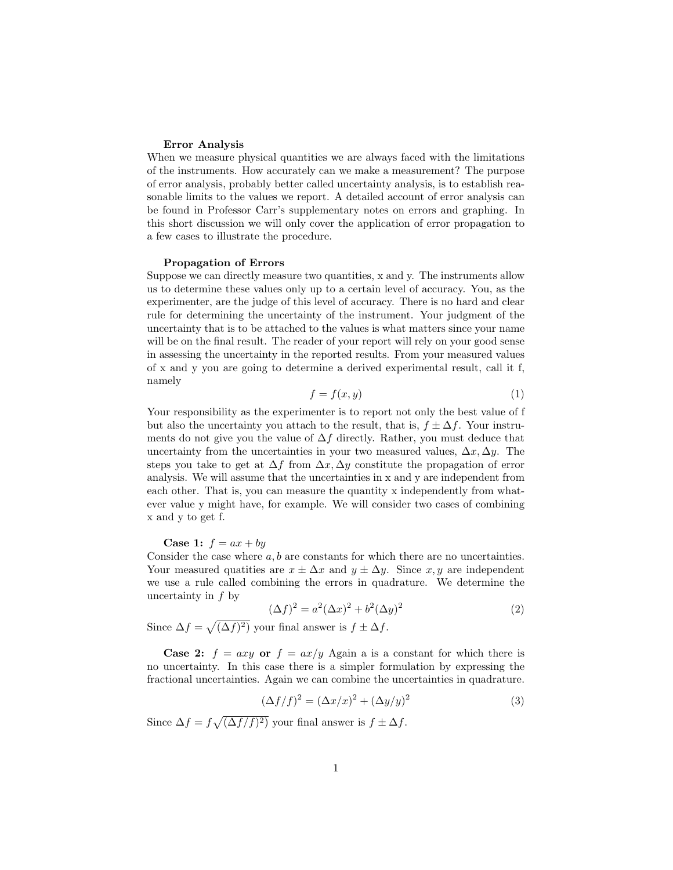# Error Analysis

When we measure physical quantities we are always faced with the limitations of the instruments. How accurately can we make a measurement? The purpose of error analysis, probably better called uncertainty analysis, is to establish reasonable limits to the values we report. A detailed account of error analysis can be found in Professor Carr's supplementary notes on errors and graphing. In this short discussion we will only cover the application of error propagation to a few cases to illustrate the procedure.

#### Propagation of Errors

Suppose we can directly measure two quantities, x and y. The instruments allow us to determine these values only up to a certain level of accuracy. You, as the experimenter, are the judge of this level of accuracy. There is no hard and clear rule for determining the uncertainty of the instrument. Your judgment of the uncertainty that is to be attached to the values is what matters since your name will be on the final result. The reader of your report will rely on your good sense in assessing the uncertainty in the reported results. From your measured values of x and y you are going to determine a derived experimental result, call it f, namely

$$
f = f(x, y) \tag{1}
$$

Your responsibility as the experimenter is to report not only the best value of f but also the uncertainty you attach to the result, that is,  $f \pm \Delta f$ . Your instruments do not give you the value of  $\Delta f$  directly. Rather, you must deduce that uncertainty from the uncertainties in your two measured values,  $\Delta x, \Delta y$ . The steps you take to get at  $\Delta f$  from  $\Delta x, \Delta y$  constitute the propagation of error analysis. We will assume that the uncertainties in x and y are independent from each other. That is, you can measure the quantity x independently from whatever value y might have, for example. We will consider two cases of combining x and y to get f.

### **Case 1:**  $f = ax + by$

Consider the case where  $a, b$  are constants for which there are no uncertainties. Your measured quatities are  $x \pm \Delta x$  and  $y \pm \Delta y$ . Since x, y are independent we use a rule called combining the errors in quadrature. We determine the uncertainty in  $f$  by

$$
(\Delta f)^2 = a^2 (\Delta x)^2 + b^2 (\Delta y)^2 \tag{2}
$$

Since  $\Delta f = \sqrt{(\Delta f)^2}$  your final answer is  $f \pm \Delta f$ .

**Case 2:**  $f = axy$  or  $f = ax/y$  Again a is a constant for which there is no uncertainty. In this case there is a simpler formulation by expressing the fractional uncertainties. Again we can combine the uncertainties in quadrature.

$$
(\Delta f/f)^2 = (\Delta x/x)^2 + (\Delta y/y)^2 \tag{3}
$$

Since  $\Delta f = f \sqrt{(\Delta f/f)^2}$  your final answer is  $f \pm \Delta f$ .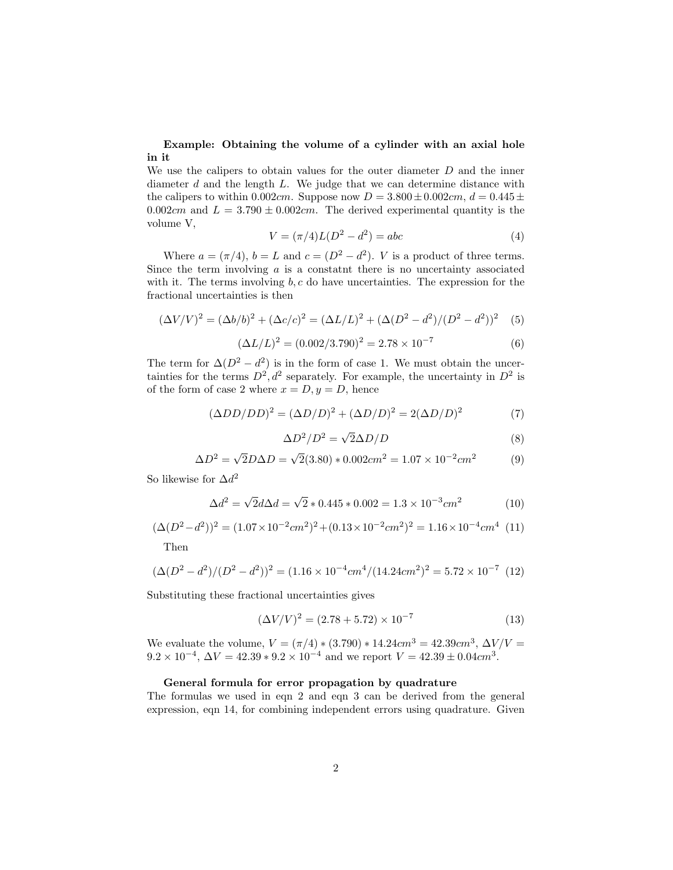# Example: Obtaining the volume of a cylinder with an axial hole in it

We use the calipers to obtain values for the outer diameter  $D$  and the inner diameter d and the length L. We judge that we can determine distance with the calipers to within 0.002*cm*. Suppose now  $D = 3.800 \pm 0.002$ *cm*,  $d = 0.445 \pm 0.002$ 0.002cm and  $L = 3.790 \pm 0.002$ cm. The derived experimental quantity is the volume V,

$$
V = (\pi/4)L(D^2 - d^2) = abc \tag{4}
$$

Where  $a = (\pi/4)$ ,  $b = L$  and  $c = (D^2 - d^2)$ . *V* is a product of three terms. Since the term involving  $\alpha$  is a constatnt there is no uncertainty associated with it. The terms involving  $b, c$  do have uncertainties. The expression for the fractional uncertainties is then

$$
(\Delta V/V)^2 = (\Delta b/b)^2 + (\Delta c/c)^2 = (\Delta L/L)^2 + (\Delta (D^2 - d^2)/(D^2 - d^2))^2
$$
 (5)

$$
(\Delta L/L)^2 = (0.002/3.790)^2 = 2.78 \times 10^{-7}
$$
 (6)

The term for  $\Delta(D^2 - d^2)$  is in the form of case 1. We must obtain the uncertainties for the terms  $D^2$ ,  $d^2$  separately. For example, the uncertainty in  $D^2$  is of the form of case 2 where  $x = D, y = D$ , hence

$$
(\Delta DD / DD)^2 = (\Delta D / D)^2 + (\Delta D / D)^2 = 2(\Delta D / D)^2 \tag{7}
$$

$$
\Delta D^2 / D^2 = \sqrt{2} \Delta D / D \tag{8}
$$

$$
\Delta D^2 = \sqrt{2}D\Delta D = \sqrt{2}(3.80) * 0.002cm^2 = 1.07 \times 10^{-2} cm^2 \tag{9}
$$

So likewise for  $\Delta d^2$ 

$$
\Delta d^2 = \sqrt{2}d\Delta d = \sqrt{2} * 0.445 * 0.002 = 1.3 \times 10^{-3} cm^2 \tag{10}
$$

$$
(\Delta(D^2 - d^2))^2 = (1.07 \times 10^{-2} cm^2)^2 + (0.13 \times 10^{-2} cm^2)^2 = 1.16 \times 10^{-4} cm^4
$$
 (11)

Then

$$
(\Delta(D^2 - d^2)/(D^2 - d^2))^2 = (1.16 \times 10^{-4} \text{cm}^4/(14.24 \text{cm}^2))^2 = 5.72 \times 10^{-7} \tag{12}
$$

Substituting these fractional uncertainties gives

$$
(\Delta V/V)^2 = (2.78 + 5.72) \times 10^{-7}
$$
 (13)

We evaluate the volume,  $V = (\pi/4) * (3.790) * 14.24 cm^3 = 42.39 cm^3$ ,  $\Delta V/V =$  $9.2 \times 10^{-4}$ ,  $\Delta V = 42.39 \times 9.2 \times 10^{-4}$  and we report  $V = 42.39 \pm 0.04$ cm<sup>3</sup>.

### General formula for error propagation by quadrature

The formulas we used in eqn 2 and eqn 3 can be derived from the general expression, eqn 14, for combining independent errors using quadrature. Given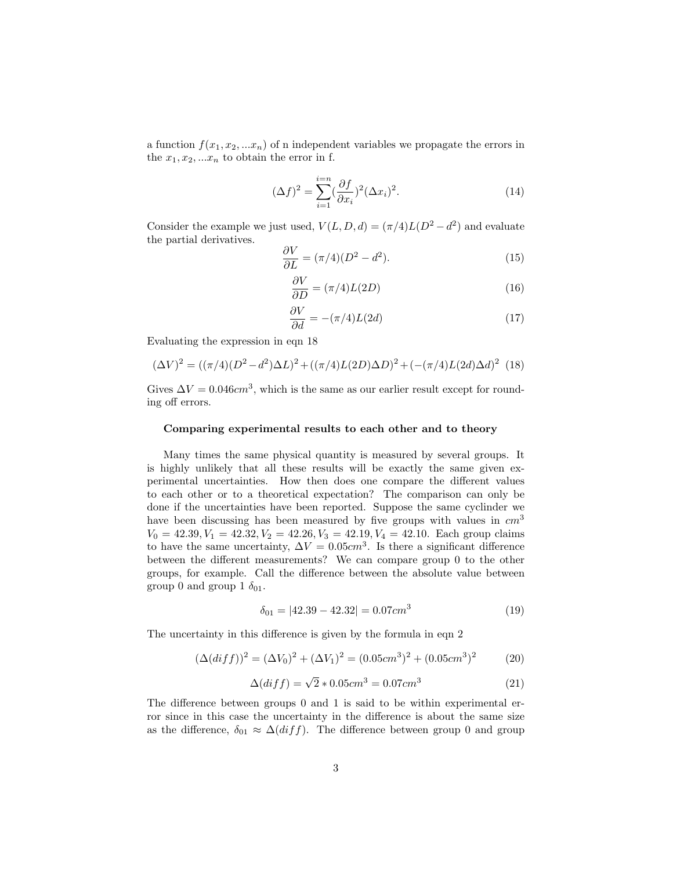a function  $f(x_1, x_2, ... x_n)$  of n independent variables we propagate the errors in the  $x_1, x_2, \ldots, x_n$  to obtain the error in f.

$$
(\Delta f)^2 = \sum_{i=1}^{i=n} (\frac{\partial f}{\partial x_i})^2 (\Delta x_i)^2.
$$
 (14)

Consider the example we just used,  $V(L, D, d) = (\pi/4)L(D^2 - d^2)$  and evaluate the partial derivatives.

$$
\frac{\partial V}{\partial L} = (\pi/4)(D^2 - d^2). \tag{15}
$$

$$
\frac{\partial V}{\partial D} = (\pi/4)L(2D) \tag{16}
$$

$$
\frac{\partial V}{\partial d} = -(\pi/4)L(2d) \tag{17}
$$

Evaluating the expression in eqn 18

$$
(\Delta V)^{2} = ((\pi/4)(D^{2} - d^{2})\Delta L)^{2} + ((\pi/4)L(2D)\Delta D)^{2} + (-(\pi/4)L(2d)\Delta d)^{2} (18)
$$

Gives  $\Delta V = 0.046 \text{cm}^3$ , which is the same as our earlier result except for rounding off errors.

# Comparing experimental results to each other and to theory

Many times the same physical quantity is measured by several groups. It is highly unlikely that all these results will be exactly the same given experimental uncertainties. How then does one compare the different values to each other or to a theoretical expectation? The comparison can only be done if the uncertainties have been reported. Suppose the same cyclinder we have been discussing has been measured by five groups with values in  $cm<sup>3</sup>$  $V_0 = 42.39, V_1 = 42.32, V_2 = 42.26, V_3 = 42.19, V_4 = 42.10$ . Each group claims to have the same uncertainty,  $\Delta V = 0.05$ cm<sup>3</sup>. Is there a significant difference between the different measurements? We can compare group 0 to the other groups, for example. Call the difference between the absolute value between group 0 and group 1  $\delta_{01}$ .

$$
\delta_{01} = |42.39 - 42.32| = 0.07 \, \text{cm}^3 \tag{19}
$$

The uncertainty in this difference is given by the formula in eqn 2

$$
(\Delta (diff))^2 = (\Delta V_0)^2 + (\Delta V_1)^2 = (0.05cm^3)^2 + (0.05cm^3)^2 \tag{20}
$$

$$
\Delta(dff) = \sqrt{2} * 0.05 cm^3 = 0.07 cm^3 \tag{21}
$$

The difference between groups 0 and 1 is said to be within experimental error since in this case the uncertainty in the difference is about the same size as the difference,  $\delta_{01} \approx \Delta (diff)$ . The difference between group 0 and group